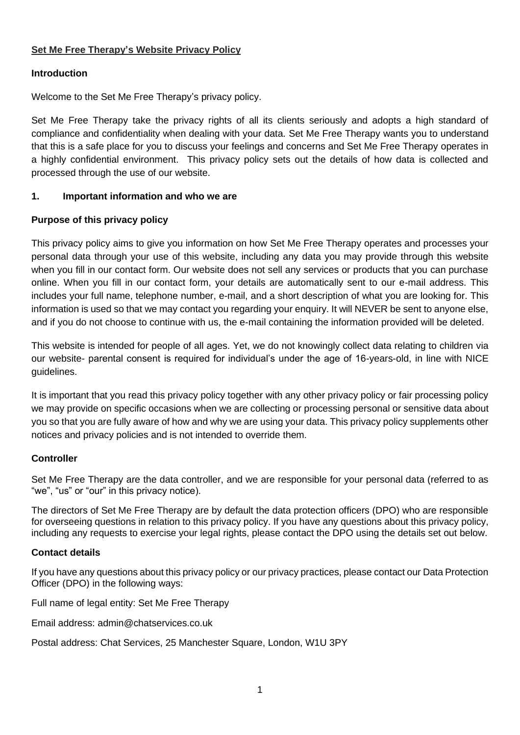## **Set Me Free Therapy's Website Privacy Policy**

## **Introduction**

Welcome to the Set Me Free Therapy's privacy policy.

Set Me Free Therapy take the privacy rights of all its clients seriously and adopts a high standard of compliance and confidentiality when dealing with your data. Set Me Free Therapy wants you to understand that this is a safe place for you to discuss your feelings and concerns and Set Me Free Therapy operates in a highly confidential environment. This privacy policy sets out the details of how data is collected and processed through the use of our website.

## **1. Important information and who we are**

## **Purpose of this privacy policy**

This privacy policy aims to give you information on how Set Me Free Therapy operates and processes your personal data through your use of this website, including any data you may provide through this website when you fill in our contact form. Our website does not sell any services or products that you can purchase online. When you fill in our contact form, your details are automatically sent to our e-mail address. This includes your full name, telephone number, e-mail, and a short description of what you are looking for. This information is used so that we may contact you regarding your enquiry. It will NEVER be sent to anyone else, and if you do not choose to continue with us, the e-mail containing the information provided will be deleted.

This website is intended for people of all ages. Yet, we do not knowingly collect data relating to children via our website- parental consent is required for individual's under the age of 16-years-old, in line with NICE guidelines.

It is important that you read this privacy policy together with any other privacy policy or fair processing policy we may provide on specific occasions when we are collecting or processing personal or sensitive data about you so that you are fully aware of how and why we are using your data. This privacy policy supplements other notices and privacy policies and is not intended to override them.

### **Controller**

Set Me Free Therapy are the data controller, and we are responsible for your personal data (referred to as "we", "us" or "our" in this privacy notice).

The directors of Set Me Free Therapy are by default the data protection officers (DPO) who are responsible for overseeing questions in relation to this privacy policy. If you have any questions about this privacy policy, including any requests to exercise your legal rights, please contact the DPO using the details set out below.

### **Contact details**

If you have any questions about this privacy policy or our privacy practices, please contact our Data Protection Officer (DPO) in the following ways:

Full name of legal entity: Set Me Free Therapy

Email address: admin@chatservices.co.uk

Postal address: Chat Services, 25 Manchester Square, London, W1U 3PY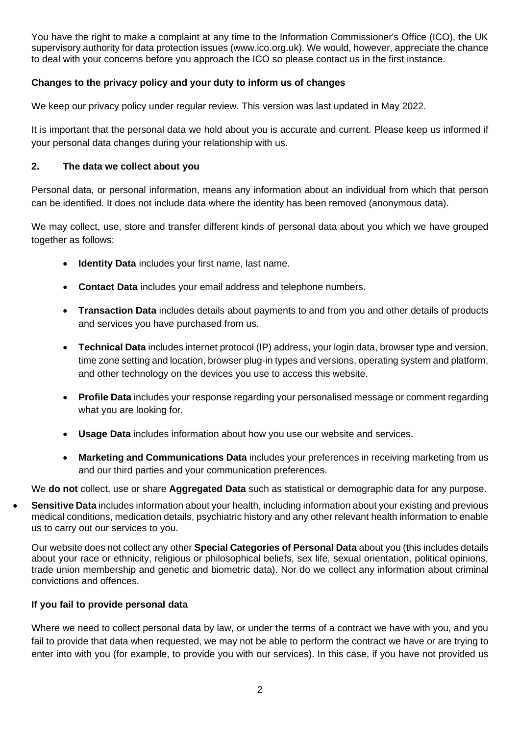You have the right to make a complaint at any time to the Information Commissioner's Office (ICO), the UK supervisory authority for data protection issues (www.ico.org.uk). We would, however, appreciate the chance to deal with your concerns before you approach the ICO so please contact us in the first instance.

## **Changes to the privacy policy and your duty to inform us of changes**

We keep our privacy policy under regular review. This version was last updated in May 2022.

It is important that the personal data we hold about you is accurate and current. Please keep us informed if your personal data changes during your relationship with us.

## **2. The data we collect about you**

Personal data, or personal information, means any information about an individual from which that person can be identified. It does not include data where the identity has been removed (anonymous data).

We may collect, use, store and transfer different kinds of personal data about you which we have grouped together as follows:

- **Identity Data** includes your first name, last name.
- **Contact Data** includes your email address and telephone numbers.
- **Transaction Data** includes details about payments to and from you and other details of products and services you have purchased from us.
- **Technical Data** includes internet protocol (IP) address, your login data, browser type and version, time zone setting and location, browser plug-in types and versions, operating system and platform, and other technology on the devices you use to access this website.
- **Profile Data** includes your response regarding your personalised message or comment regarding what you are looking for.
- **Usage Data** includes information about how you use our website and services.
- **Marketing and Communications Data** includes your preferences in receiving marketing from us and our third parties and your communication preferences.

We **do not** collect, use or share **Aggregated Data** such as statistical or demographic data for any purpose.

• **Sensitive Data** includes information about your health, including information about your existing and previous medical conditions, medication details, psychiatric history and any other relevant health information to enable us to carry out our services to you.

Our website does not collect any other **Special Categories of Personal Data** about you (this includes details about your race or ethnicity, religious or philosophical beliefs, sex life, sexual orientation, political opinions, trade union membership and genetic and biometric data). Nor do we collect any information about criminal convictions and offences.

### **If you fail to provide personal data**

Where we need to collect personal data by law, or under the terms of a contract we have with you, and you fail to provide that data when requested, we may not be able to perform the contract we have or are trying to enter into with you (for example, to provide you with our services). In this case, if you have not provided us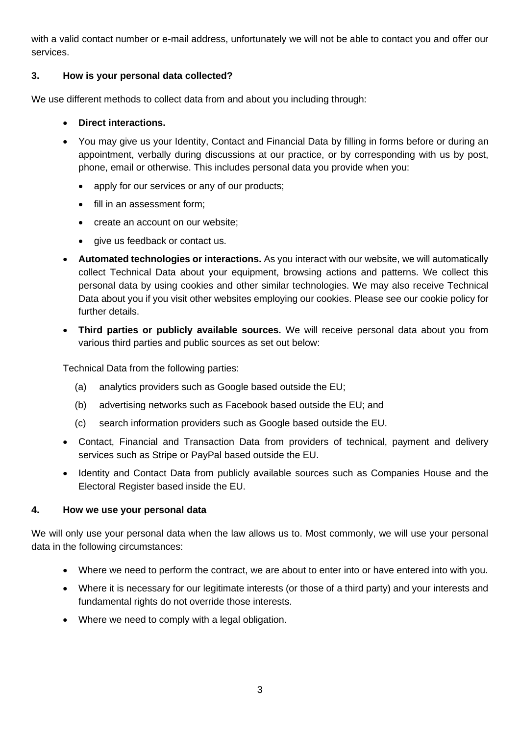with a valid contact number or e-mail address, unfortunately we will not be able to contact you and offer our services.

# **3. How is your personal data collected?**

We use different methods to collect data from and about you including through:

- **Direct interactions.**
- You may give us your Identity, Contact and Financial Data by filling in forms before or during an appointment, verbally during discussions at our practice, or by corresponding with us by post, phone, email or otherwise. This includes personal data you provide when you:
	- apply for our services or any of our products;
	- fill in an assessment form;
	- create an account on our website;
	- give us feedback or contact us.
- **Automated technologies or interactions.** As you interact with our website, we will automatically collect Technical Data about your equipment, browsing actions and patterns. We collect this personal data by using cookies and other similar technologies. We may also receive Technical Data about you if you visit other websites employing our cookies. Please see our cookie policy for further details.
- **Third parties or publicly available sources.** We will receive personal data about you from various third parties and public sources as set out below:

Technical Data from the following parties:

- (a) analytics providers such as Google based outside the EU;
- (b) advertising networks such as Facebook based outside the EU; and
- (c) search information providers such as Google based outside the EU.
- Contact, Financial and Transaction Data from providers of technical, payment and delivery services such as Stripe or PayPal based outside the EU.
- Identity and Contact Data from publicly available sources such as Companies House and the Electoral Register based inside the EU.

## **4. How we use your personal data**

We will only use your personal data when the law allows us to. Most commonly, we will use your personal data in the following circumstances:

- Where we need to perform the contract, we are about to enter into or have entered into with you.
- Where it is necessary for our legitimate interests (or those of a third party) and your interests and fundamental rights do not override those interests.
- Where we need to comply with a legal obligation.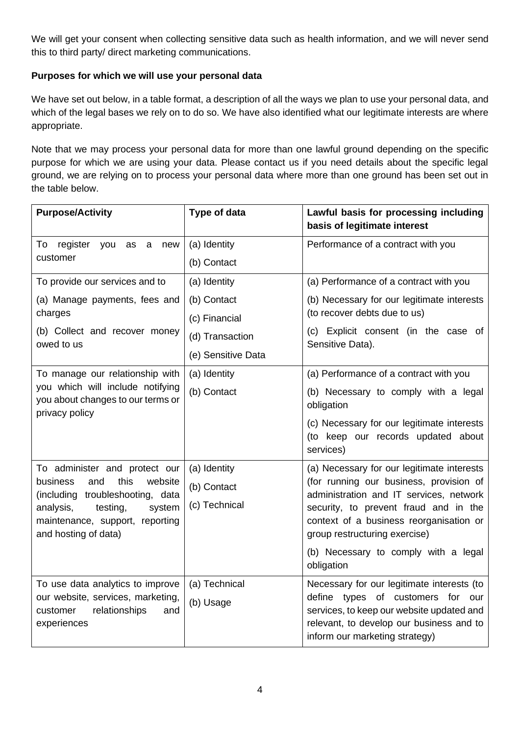We will get your consent when collecting sensitive data such as health information, and we will never send this to third party/ direct marketing communications.

# **Purposes for which we will use your personal data**

We have set out below, in a table format, a description of all the ways we plan to use your personal data, and which of the legal bases we rely on to do so. We have also identified what our legitimate interests are where appropriate.

Note that we may process your personal data for more than one lawful ground depending on the specific purpose for which we are using your data. Please contact us if you need details about the specific legal ground, we are relying on to process your personal data where more than one ground has been set out in the table below.

| <b>Purpose/Activity</b>                                                                                                                                                                               | Type of data                                 | Lawful basis for processing including<br>basis of legitimate interest                                                                                                                                                                                 |
|-------------------------------------------------------------------------------------------------------------------------------------------------------------------------------------------------------|----------------------------------------------|-------------------------------------------------------------------------------------------------------------------------------------------------------------------------------------------------------------------------------------------------------|
| To<br>register<br>you<br>as<br>a new<br>customer                                                                                                                                                      | (a) Identity                                 | Performance of a contract with you                                                                                                                                                                                                                    |
|                                                                                                                                                                                                       | (b) Contact                                  |                                                                                                                                                                                                                                                       |
| To provide our services and to                                                                                                                                                                        | (a) Identity                                 | (a) Performance of a contract with you                                                                                                                                                                                                                |
| (a) Manage payments, fees and<br>charges<br>(b) Collect and recover money<br>owed to us                                                                                                               | (b) Contact                                  | (b) Necessary for our legitimate interests                                                                                                                                                                                                            |
|                                                                                                                                                                                                       | (c) Financial                                | (to recover debts due to us)                                                                                                                                                                                                                          |
|                                                                                                                                                                                                       | (d) Transaction                              | (c) Explicit consent (in the case of<br>Sensitive Data).                                                                                                                                                                                              |
|                                                                                                                                                                                                       | (e) Sensitive Data                           |                                                                                                                                                                                                                                                       |
| To manage our relationship with<br>you which will include notifying<br>you about changes to our terms or<br>privacy policy                                                                            | (a) Identity                                 | (a) Performance of a contract with you                                                                                                                                                                                                                |
|                                                                                                                                                                                                       | (b) Contact                                  | (b) Necessary to comply with a legal<br>obligation                                                                                                                                                                                                    |
|                                                                                                                                                                                                       |                                              | (c) Necessary for our legitimate interests<br>(to keep our records updated about<br>services)                                                                                                                                                         |
| To administer and protect our<br>this<br>business<br>and<br>website<br>(including troubleshooting, data<br>testing,<br>analysis,<br>system<br>maintenance, support, reporting<br>and hosting of data) | (a) Identity<br>(b) Contact<br>(c) Technical | (a) Necessary for our legitimate interests<br>(for running our business, provision of<br>administration and IT services, network<br>security, to prevent fraud and in the<br>context of a business reorganisation or<br>group restructuring exercise) |
|                                                                                                                                                                                                       |                                              | (b) Necessary to comply with a legal<br>obligation                                                                                                                                                                                                    |
| To use data analytics to improve<br>our website, services, marketing,<br>relationships<br>customer<br>and<br>experiences                                                                              | (a) Technical<br>(b) Usage                   | Necessary for our legitimate interests (to<br>define types of customers for our<br>services, to keep our website updated and<br>relevant, to develop our business and to<br>inform our marketing strategy)                                            |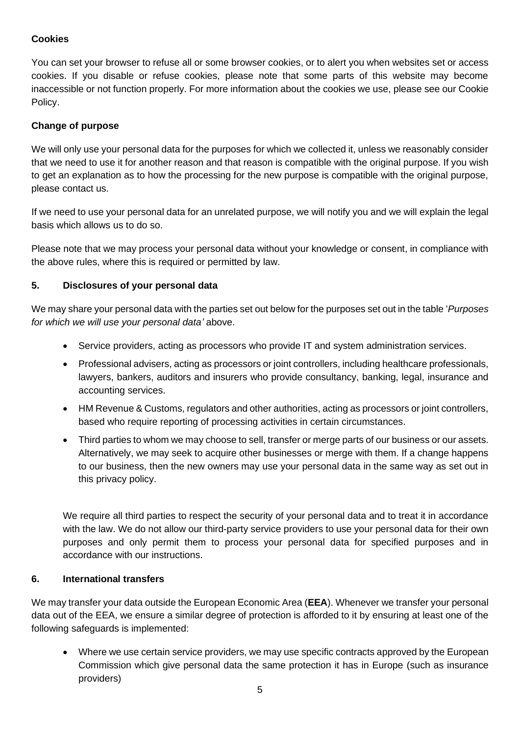# **Cookies**

You can set your browser to refuse all or some browser cookies, or to alert you when websites set or access cookies. If you disable or refuse cookies, please note that some parts of this website may become inaccessible or not function properly. For more information about the cookies we use, please see our Cookie Policy.

# **Change of purpose**

We will only use your personal data for the purposes for which we collected it, unless we reasonably consider that we need to use it for another reason and that reason is compatible with the original purpose. If you wish to get an explanation as to how the processing for the new purpose is compatible with the original purpose, please contact us.

If we need to use your personal data for an unrelated purpose, we will notify you and we will explain the legal basis which allows us to do so.

Please note that we may process your personal data without your knowledge or consent, in compliance with the above rules, where this is required or permitted by law.

# **5. Disclosures of your personal data**

We may share your personal data with the parties set out below for the purposes set out in the table '*Purposes for which we will use your personal data'* above.

- Service providers, acting as processors who provide IT and system administration services.
- Professional advisers, acting as processors or joint controllers, including healthcare professionals, lawyers, bankers, auditors and insurers who provide consultancy, banking, legal, insurance and accounting services.
- HM Revenue & Customs, regulators and other authorities, acting as processors or joint controllers, based who require reporting of processing activities in certain circumstances.
- Third parties to whom we may choose to sell, transfer or merge parts of our business or our assets. Alternatively, we may seek to acquire other businesses or merge with them. If a change happens to our business, then the new owners may use your personal data in the same way as set out in this privacy policy.

We require all third parties to respect the security of your personal data and to treat it in accordance with the law. We do not allow our third-party service providers to use your personal data for their own purposes and only permit them to process your personal data for specified purposes and in accordance with our instructions.

## **6. International transfers**

We may transfer your data outside the European Economic Area (**EEA**). Whenever we transfer your personal data out of the EEA, we ensure a similar degree of protection is afforded to it by ensuring at least one of the following safeguards is implemented:

• Where we use certain service providers, we may use specific contracts approved by the European Commission which give personal data the same protection it has in Europe (such as insurance providers)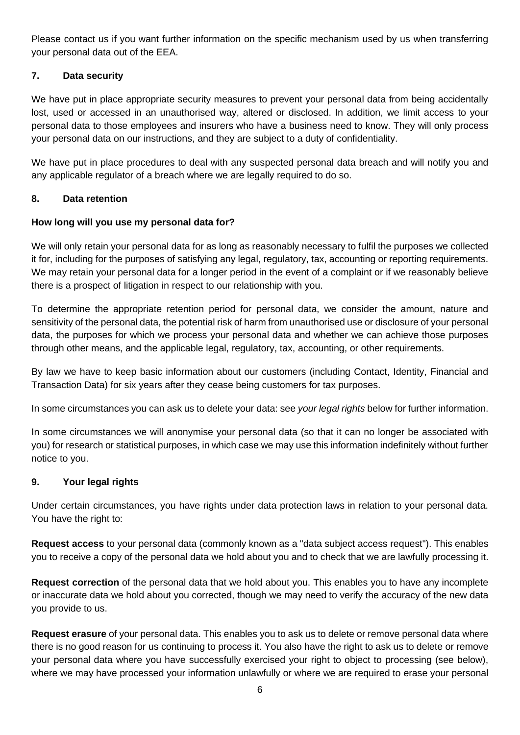Please contact us if you want further information on the specific mechanism used by us when transferring your personal data out of the EEA.

# **7. Data security**

We have put in place appropriate security measures to prevent your personal data from being accidentally lost, used or accessed in an unauthorised way, altered or disclosed. In addition, we limit access to your personal data to those employees and insurers who have a business need to know. They will only process your personal data on our instructions, and they are subject to a duty of confidentiality.

We have put in place procedures to deal with any suspected personal data breach and will notify you and any applicable regulator of a breach where we are legally required to do so.

## **8. Data retention**

# **How long will you use my personal data for?**

We will only retain your personal data for as long as reasonably necessary to fulfil the purposes we collected it for, including for the purposes of satisfying any legal, regulatory, tax, accounting or reporting requirements. We may retain your personal data for a longer period in the event of a complaint or if we reasonably believe there is a prospect of litigation in respect to our relationship with you.

To determine the appropriate retention period for personal data, we consider the amount, nature and sensitivity of the personal data, the potential risk of harm from unauthorised use or disclosure of your personal data, the purposes for which we process your personal data and whether we can achieve those purposes through other means, and the applicable legal, regulatory, tax, accounting, or other requirements.

By law we have to keep basic information about our customers (including Contact, Identity, Financial and Transaction Data) for six years after they cease being customers for tax purposes.

In some circumstances you can ask us to delete your data: see *your legal rights* below for further information.

In some circumstances we will anonymise your personal data (so that it can no longer be associated with you) for research or statistical purposes, in which case we may use this information indefinitely without further notice to you.

## **9. Your legal rights**

Under certain circumstances, you have rights under data protection laws in relation to your personal data. You have the right to:

**Request access** to your personal data (commonly known as a "data subject access request"). This enables you to receive a copy of the personal data we hold about you and to check that we are lawfully processing it.

**Request correction** of the personal data that we hold about you. This enables you to have any incomplete or inaccurate data we hold about you corrected, though we may need to verify the accuracy of the new data you provide to us.

**Request erasure** of your personal data. This enables you to ask us to delete or remove personal data where there is no good reason for us continuing to process it. You also have the right to ask us to delete or remove your personal data where you have successfully exercised your right to object to processing (see below), where we may have processed your information unlawfully or where we are required to erase your personal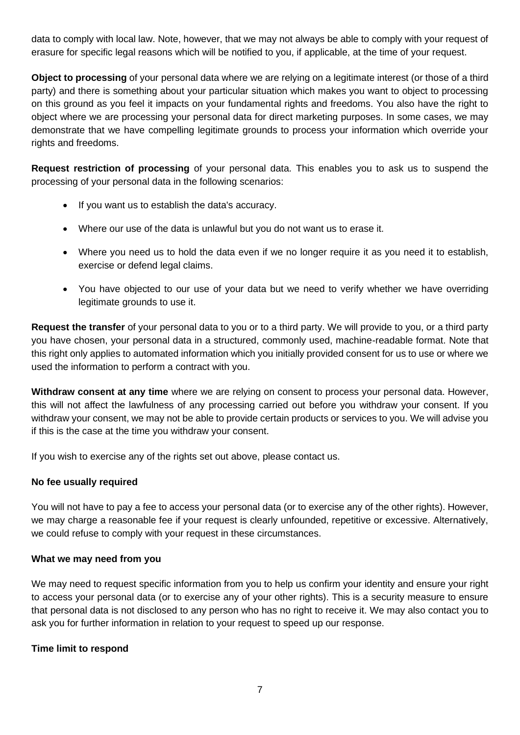data to comply with local law. Note, however, that we may not always be able to comply with your request of erasure for specific legal reasons which will be notified to you, if applicable, at the time of your request.

**Object to processing** of your personal data where we are relying on a legitimate interest (or those of a third party) and there is something about your particular situation which makes you want to object to processing on this ground as you feel it impacts on your fundamental rights and freedoms. You also have the right to object where we are processing your personal data for direct marketing purposes. In some cases, we may demonstrate that we have compelling legitimate grounds to process your information which override your rights and freedoms.

**Request restriction of processing** of your personal data. This enables you to ask us to suspend the processing of your personal data in the following scenarios:

- If you want us to establish the data's accuracy.
- Where our use of the data is unlawful but you do not want us to erase it.
- Where you need us to hold the data even if we no longer require it as you need it to establish, exercise or defend legal claims.
- You have objected to our use of your data but we need to verify whether we have overriding legitimate grounds to use it.

**Request the transfer** of your personal data to you or to a third party. We will provide to you, or a third party you have chosen, your personal data in a structured, commonly used, machine-readable format. Note that this right only applies to automated information which you initially provided consent for us to use or where we used the information to perform a contract with you.

**Withdraw consent at any time** where we are relying on consent to process your personal data. However, this will not affect the lawfulness of any processing carried out before you withdraw your consent. If you withdraw your consent, we may not be able to provide certain products or services to you. We will advise you if this is the case at the time you withdraw your consent.

If you wish to exercise any of the rights set out above, please contact us.

### **No fee usually required**

You will not have to pay a fee to access your personal data (or to exercise any of the other rights). However, we may charge a reasonable fee if your request is clearly unfounded, repetitive or excessive. Alternatively, we could refuse to comply with your request in these circumstances.

### **What we may need from you**

We may need to request specific information from you to help us confirm your identity and ensure your right to access your personal data (or to exercise any of your other rights). This is a security measure to ensure that personal data is not disclosed to any person who has no right to receive it. We may also contact you to ask you for further information in relation to your request to speed up our response.

### **Time limit to respond**